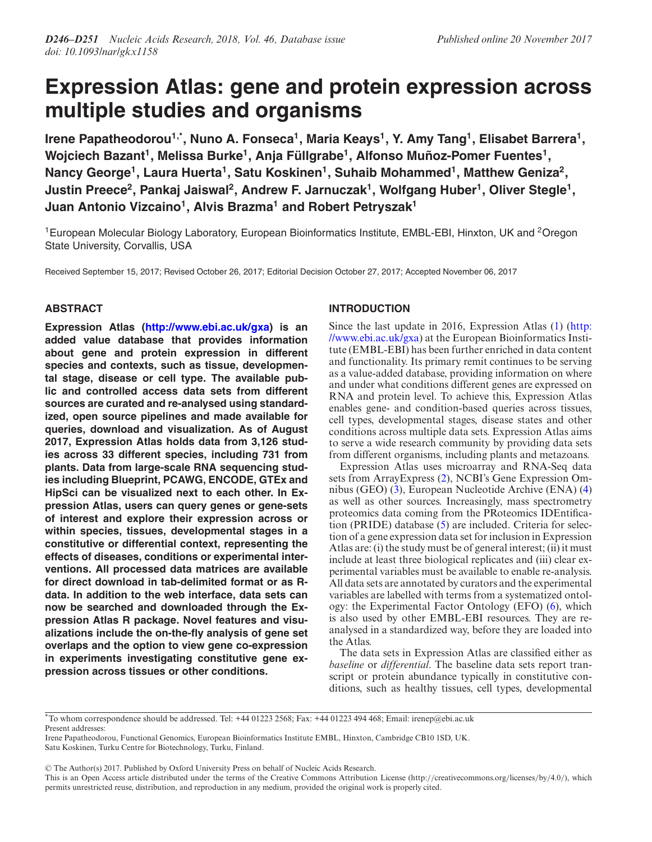# **Expression Atlas: gene and protein expression across multiple studies and organisms**

Irene Papatheodorou<sup>1,\*</sup>, Nuno A. Fonseca<sup>1</sup>, Maria Keays<sup>1</sup>, Y. Amy Tang<sup>1</sup>, Elisabet Barrera<sup>1</sup>, Wojciech Bazant<sup>1</sup>, Melissa Burke<sup>1</sup>, Anja Füllgrabe<sup>1</sup>, Alfonso Muñoz-Pomer Fuentes<sup>1</sup>, Nancy George<sup>1</sup>, Laura Huerta<sup>1</sup>, Satu Koskinen<sup>1</sup>, Suhaib Mohammed<sup>1</sup>, Matthew Geniza<sup>2</sup>, Justin Preece<sup>2</sup>, Pankaj Jaiswal<sup>2</sup>, Andrew F. Jarnuczak<sup>1</sup>, Wolfgang Huber<sup>1</sup>, Oliver Stegle<sup>1</sup>, **Juan Antonio Vizcaino1, Alvis Brazma1 and Robert Petryszak<sup>1</sup>**

<sup>1</sup>European Molecular Biology Laboratory, European Bioinformatics Institute, EMBL-EBI, Hinxton, UK and <sup>2</sup>Oregon State University, Corvallis, USA

Received September 15, 2017; Revised October 26, 2017; Editorial Decision October 27, 2017; Accepted November 06, 2017

# **ABSTRACT**

**Expression Atlas [\(http://www.ebi.ac.uk/gxa\)](http://www.ebi.ac.uk/gxa) is an added value database that provides information about gene and protein expression in different species and contexts, such as tissue, developmental stage, disease or cell type. The available public and controlled access data sets from different sources are curated and re-analysed using standardized, open source pipelines and made available for queries, download and visualization. As of August 2017, Expression Atlas holds data from 3,126 studies across 33 different species, including 731 from plants. Data from large-scale RNA sequencing studies including Blueprint, PCAWG, ENCODE, GTEx and HipSci can be visualized next to each other. In Expression Atlas, users can query genes or gene-sets of interest and explore their expression across or within species, tissues, developmental stages in a constitutive or differential context, representing the effects of diseases, conditions or experimental interventions. All processed data matrices are available for direct download in tab-delimited format or as Rdata. In addition to the web interface, data sets can now be searched and downloaded through the Expression Atlas R package. Novel features and visualizations include the on-the-fly analysis of gene set overlaps and the option to view gene co-expression in experiments investigating constitutive gene expression across tissues or other conditions.**

## **INTRODUCTION**

Since the last update in 2016, Expression Atlas [\(1\)](#page-4-0) (http: [//www.ebi.ac.uk/gxa\) at the European Bioinformatics Insti](http://www.ebi.ac.uk/gxa)tute (EMBL-EBI) has been further enriched in data content and functionality. Its primary remit continues to be serving as a value-added database, providing information on where and under what conditions different genes are expressed on RNA and protein level. To achieve this, Expression Atlas enables gene- and condition-based queries across tissues, cell types, developmental stages, disease states and other conditions across multiple data sets. Expression Atlas aims to serve a wide research community by providing data sets from different organisms, including plants and metazoans.

Expression Atlas uses microarray and RNA-Seq data sets from ArrayExpress [\(2\)](#page-4-0), NCBI's Gene Expression Omnibus (GEO) [\(3\)](#page-4-0), European Nucleotide Archive (ENA) [\(4\)](#page-4-0) as well as other sources. Increasingly, mass spectrometry proteomics data coming from the PRoteomics IDEntification (PRIDE) database [\(5\)](#page-4-0) are included. Criteria for selection of a gene expression data set for inclusion in Expression Atlas are: (i) the study must be of general interest; (ii) it must include at least three biological replicates and (iii) clear experimental variables must be available to enable re-analysis. All data sets are annotated by curators and the experimental variables are labelled with terms from a systematized ontology: the Experimental Factor Ontology (EFO) [\(6\)](#page-4-0), which is also used by other EMBL-EBI resources. They are reanalysed in a standardized way, before they are loaded into the Atlas.

The data sets in Expression Atlas are classified either as *baseline* or *differential*. The baseline data sets report transcript or protein abundance typically in constitutive conditions, such as healthy tissues, cell types, developmental

<sup>\*</sup>To whom correspondence should be addressed. Tel: +44 01223 2568; Fax: +44 01223 494 468; Email: irenep@ebi.ac.uk Present addresses:

Irene Papatheodorou, Functional Genomics, European Bioinformatics Institute EMBL, Hinxton, Cambridge CB10 1SD, UK. Satu Koskinen, Turku Centre for Biotechnology, Turku, Finland.

<sup>-</sup><sup>C</sup> The Author(s) 2017. Published by Oxford University Press on behalf of Nucleic Acids Research.

This is an Open Access article distributed under the terms of the Creative Commons Attribution License (http://creativecommons.org/licenses/by/4.0/), which permits unrestricted reuse, distribution, and reproduction in any medium, provided the original work is properly cited.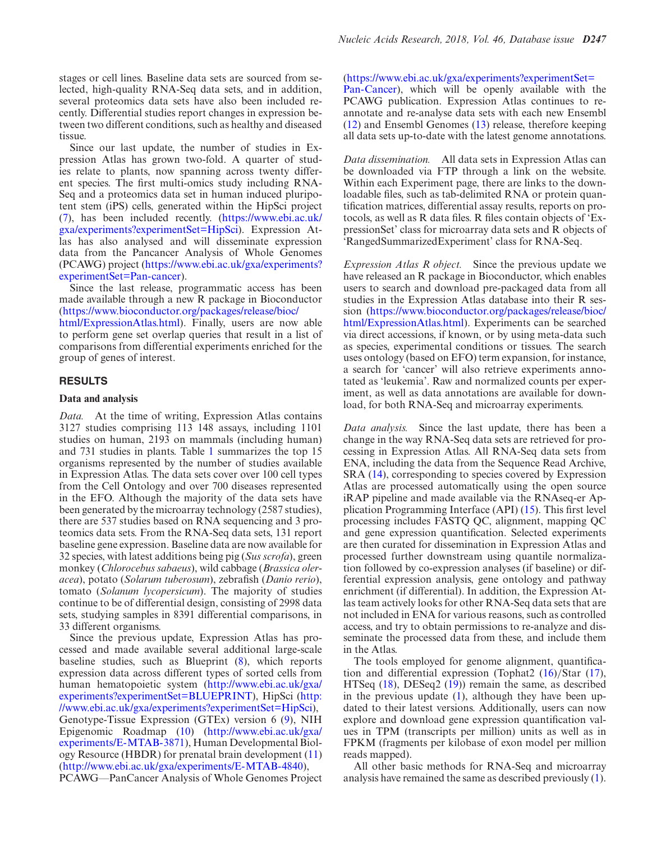stages or cell lines. Baseline data sets are sourced from selected, high-quality RNA-Seq data sets, and in addition, several proteomics data sets have also been included recently. Differential studies report changes in expression between two different conditions, such as healthy and diseased tissue.

Since our last update, the number of studies in Expression Atlas has grown two-fold. A quarter of studies relate to plants, now spanning across twenty different species. The first multi-omics study including RNA-Seq and a proteomics data set in human induced pluripotent stem (iPS) cells, generated within the HipSci project [\(7\)](#page-5-0), has been included recently. (https://www.ebi.ac.uk/ [gxa/experiments?experimentSet=HipSci\). Expression At](https://www.ebi.ac.uk/gxa/experiments?experimentSet=HipSci)las has also analysed and will disseminate expression data from the Pancancer Analysis of Whole Genomes [\(PCAWG\) project \(https://www.ebi.ac.uk/gxa/experiments?](https://www.ebi.ac.uk/gxa/experiments?experimentSet=Pan-cancer) experimentSet=Pan-cancer).

Since the last release, programmatic access has been made available through a new R package in Bioconductor (https://www.bioconductor.org/packages/release/bioc/

[html/ExpressionAtlas.html\). Finally, users are now](https://www.bioconductor.org/packages/release/bioc/html/ExpressionAtlas.html) able to perform gene set overlap queries that result in a list of comparisons from differential experiments enriched for the group of genes of interest.

## **RESULTS**

## **Data and analysis**

*Data.* At the time of writing, Expression Atlas contains 3127 studies comprising 113 148 assays, including 1101 studies on human, 2193 on mammals (including human) and 731 studies in plants. Table [1](#page-2-0) summarizes the top 15 organisms represented by the number of studies available in Expression Atlas. The data sets cover over 100 cell types from the Cell Ontology and over 700 diseases represented in the EFO. Although the majority of the data sets have been generated by the microarray technology (2587 studies), there are 537 studies based on RNA sequencing and 3 proteomics data sets. From the RNA-Seq data sets, 131 report baseline gene expression. Baseline data are now available for 32 species, with latest additions being pig (*Sus scrofa*), green monkey (*Chlorocebus sabaeus*), wild cabbage (*Brassica oleracea*), potato (*Solarum tuberosum*), zebrafish (*Danio rerio*), tomato (*Solanum lycopersicum*). The majority of studies continue to be of differential design, consisting of 2998 data sets, studying samples in 8391 differential comparisons, in 33 different organisms.

Since the previous update, Expression Atlas has processed and made available several additional large-scale baseline studies, such as Blueprint [\(8\)](#page-5-0), which reports expression data across different types of sorted cells from human hematopoietic system (http://www.ebi.ac.uk/gxa/ [experiments?experimentSet=BLUEPRINT\), HipSci \(http:](http://www.ebi.ac.uk/gxa/experiments?experimentSet=BLUEPRINT) //www.ebi.ac.uk/gxa/experiments?experimentSet=HipSci), Genotype-Tissue Expression (GTEx) version 6 [\(9\)](#page-5-0), NIH Epigenomic Roadmap [\(10\)](#page-5-0) (http://www.ebi.ac.uk/gxa/ [experiments/E-MTAB-3871\), Human Developmental Biol](http://www.ebi.ac.uk/gxa/experiments/E-MTAB-3871)ogy Resource (HBDR) for prenatal brain development [\(11\)](#page-5-0) [\(http://www.ebi.ac.uk/gxa/experiments/E-MTAB-4840\)](http://www.ebi.ac.uk/gxa/experiments/E-MTAB-4840), PCAWG––PanCancer Analysis of Whole Genomes Project

### (https://www.ebi.ac.uk/gxa/experiments?experimentSet=

[Pan-Cancer\), which will be openly available with th](https://www.ebi.ac.uk/gxa/experiments?experimentSet=Pan-Cancer)e PCAWG publication. Expression Atlas continues to reannotate and re-analyse data sets with each new Ensembl [\(12\)](#page-5-0) and Ensembl Genomes [\(13\)](#page-5-0) release, therefore keeping all data sets up-to-date with the latest genome annotations.

*Data dissemination.* All data sets in Expression Atlas can be downloaded via FTP through a link on the website. Within each Experiment page, there are links to the downloadable files, such as tab-delimited RNA or protein quantification matrices, differential assay results, reports on protocols, as well as R data files. R files contain objects of 'ExpressionSet' class for microarray data sets and R objects of 'RangedSummarizedExperiment' class for RNA-Seq.

*Expression Atlas R object.* Since the previous update we have released an R package in Bioconductor, which enables users to search and download pre-packaged data from all studies in the Expression Atlas database into their R ses[sion \(https://www.bioconductor.org/packages/release/bioc/](https://www.bioconductor.org/packages/release/bioc/html/ExpressionAtlas.html) html/ExpressionAtlas.html). Experiments can be searched via direct accessions, if known, or by using meta-data such as species, experimental conditions or tissues. The search uses ontology (based on EFO) term expansion, for instance, a search for 'cancer' will also retrieve experiments annotated as 'leukemia'. Raw and normalized counts per experiment, as well as data annotations are available for download, for both RNA-Seq and microarray experiments.

*Data analysis.* Since the last update, there has been a change in the way RNA-Seq data sets are retrieved for processing in Expression Atlas. All RNA-Seq data sets from ENA, including the data from the Sequence Read Archive, SRA [\(14\)](#page-5-0), corresponding to species covered by Expression Atlas are processed automatically using the open source iRAP pipeline and made available via the RNAseq-er Application Programming Interface (API) [\(15\)](#page-5-0). This first level processing includes FASTQ QC, alignment, mapping QC and gene expression quantification. Selected experiments are then curated for dissemination in Expression Atlas and processed further downstream using quantile normalization followed by co-expression analyses (if baseline) or differential expression analysis, gene ontology and pathway enrichment (if differential). In addition, the Expression Atlas team actively looks for other RNA-Seq data sets that are not included in ENA for various reasons, such as controlled access, and try to obtain permissions to re-analyze and disseminate the processed data from these, and include them in the Atlas.

The tools employed for genome alignment, quantification and differential expression (Tophat2 [\(16\)](#page-5-0)/Star [\(17\)](#page-5-0), HTSeq [\(18\)](#page-5-0), DESeq2 [\(19\)](#page-5-0)) remain the same, as described in the previous update  $(1)$ , although they have been updated to their latest versions. Additionally, users can now explore and download gene expression quantification values in TPM (transcripts per million) units as well as in FPKM (fragments per kilobase of exon model per million reads mapped).

All other basic methods for RNA-Seq and microarray analysis have remained the same as described previously [\(1\)](#page-4-0).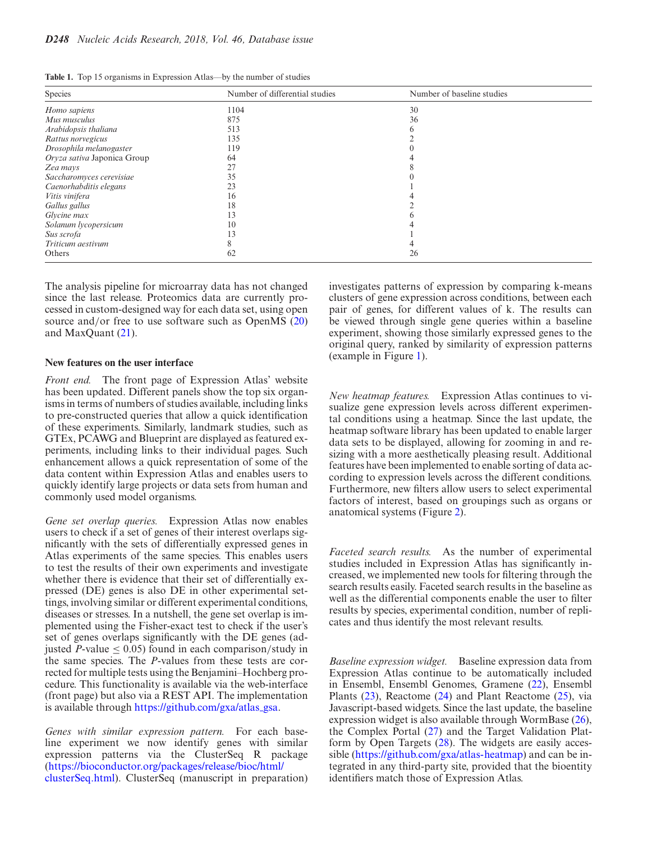<span id="page-2-0"></span>

|  |  | <b>Table 1.</b> Top 15 organisms in Expression Atlas—by the number of studies |  |  |  |  |  |  |  |
|--|--|-------------------------------------------------------------------------------|--|--|--|--|--|--|--|
|--|--|-------------------------------------------------------------------------------|--|--|--|--|--|--|--|

| Species                     | Number of differential studies | Number of baseline studies |  |
|-----------------------------|--------------------------------|----------------------------|--|
| Homo sapiens                | 1104                           | 30                         |  |
| Mus musculus                | 875                            | 36                         |  |
| Arabidopsis thaliana        | 513                            |                            |  |
| Rattus norvegicus           | 135                            |                            |  |
| Drosophila melanogaster     | 119                            |                            |  |
| Oryza sativa Japonica Group | 64                             |                            |  |
| Zea mays                    | 27                             |                            |  |
| Saccharomyces cerevisiae    | 35                             |                            |  |
| Caenorhabditis elegans      | 23                             |                            |  |
| Vitis vinifera              | 16                             |                            |  |
| Gallus gallus               | 18                             |                            |  |
| Glycine max                 | 13                             |                            |  |
| Solanum lycopersicum        | 10                             |                            |  |
| Sus scrofa                  | 13                             |                            |  |
| Triticum aestivum           |                                |                            |  |
| Others                      | 62                             | 26                         |  |

The analysis pipeline for microarray data has not changed since the last release. Proteomics data are currently processed in custom-designed way for each data set, using open source and/or free to use software such as OpenMS [\(20\)](#page-5-0) and MaxQuant [\(21\)](#page-5-0).

#### **New features on the user interface**

*Front end.* The front page of Expression Atlas' website has been updated. Different panels show the top six organisms in terms of numbers of studies available, including links to pre-constructed queries that allow a quick identification of these experiments. Similarly, landmark studies, such as GTEx, PCAWG and Blueprint are displayed as featured experiments, including links to their individual pages. Such enhancement allows a quick representation of some of the data content within Expression Atlas and enables users to quickly identify large projects or data sets from human and commonly used model organisms.

*Gene set overlap queries.* Expression Atlas now enables users to check if a set of genes of their interest overlaps significantly with the sets of differentially expressed genes in Atlas experiments of the same species. This enables users to test the results of their own experiments and investigate whether there is evidence that their set of differentially expressed (DE) genes is also DE in other experimental settings, involving similar or different experimental conditions, diseases or stresses. In a nutshell, the gene set overlap is implemented using the Fisher-exact test to check if the user's set of genes overlaps significantly with the DE genes (adjusted *P*-value  $\leq$  0.05) found in each comparison/study in the same species. The *P*-values from these tests are corrected for multiple tests using the Benjamini–Hochberg procedure. This functionality is available via the web-interface (front page) but also via a REST API. The implementation is available through [https://github.com/gxa/atlas](https://github.com/gxa/atlas_gsa)\_gsa.

*Genes with similar expression pattern.* For each baseline experiment we now identify genes with similar expression patterns via the ClusterSeq R package (https://bioconductor.org/packages/release/bioc/html/ [clusterSeq.html\). ClusterSeq \(manuscript in preparat](https://bioconductor.org/packages/release/bioc/html/clusterSeq.html)ion) investigates patterns of expression by comparing k-means clusters of gene expression across conditions, between each pair of genes, for different values of k. The results can be viewed through single gene queries within a baseline experiment, showing those similarly expressed genes to the original query, ranked by similarity of expression patterns (example in Figure [1\)](#page-3-0).

*New heatmap features.* Expression Atlas continues to visualize gene expression levels across different experimental conditions using a heatmap. Since the last update, the heatmap software library has been updated to enable larger data sets to be displayed, allowing for zooming in and resizing with a more aesthetically pleasing result. Additional features have been implemented to enable sorting of data according to expression levels across the different conditions. Furthermore, new filters allow users to select experimental factors of interest, based on groupings such as organs or anatomical systems (Figure [2\)](#page-4-0).

*Faceted search results.* As the number of experimental studies included in Expression Atlas has significantly increased, we implemented new tools for filtering through the search results easily. Faceted search results in the baseline as well as the differential components enable the user to filter results by species, experimental condition, number of replicates and thus identify the most relevant results.

*Baseline expression widget.* Baseline expression data from Expression Atlas continue to be automatically included in Ensembl, Ensembl Genomes, Gramene [\(22\)](#page-5-0), Ensembl Plants [\(23\)](#page-5-0), Reactome [\(24\)](#page-5-0) and Plant Reactome [\(25\)](#page-5-0), via Javascript-based widgets. Since the last update, the baseline expression widget is also available through WormBase [\(26\)](#page-5-0), the Complex Portal [\(27\)](#page-5-0) and the Target Validation Platform by Open Targets [\(28\)](#page-5-0). The widgets are easily accessible [\(https://github.com/gxa/atlas-heatmap\)](https://github.com/gxa/atlas-heatmap) and can be integrated in any third-party site, provided that the bioentity identifiers match those of Expression Atlas.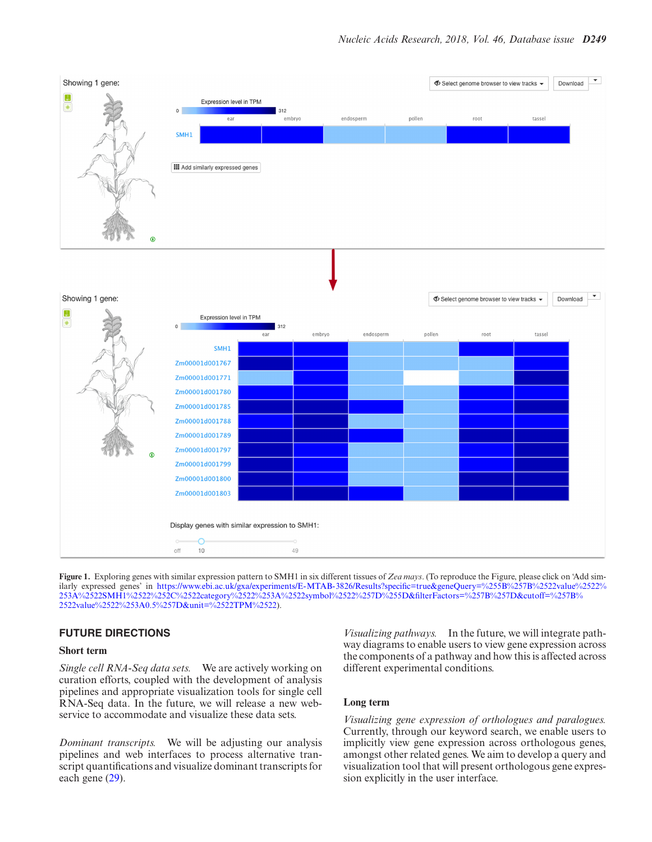<span id="page-3-0"></span>

**Figure 1.** Exploring genes with similar expression pattern to SMH1 in six different tissues of *Zea mays*. (To reproduce the Figure, please click on 'Add similarly expressed genes' in https://www.ebi.ac.uk/gxa/experiments/E-MTAB-3826/Results?specific=true&geneQuery=%255B%257B%2522value%2522% [253A%2522SMH1%2522%252C%2522category%2522%253A%2522symbol%2522%257D%255D&filterFactors=%257B%257D&cutoff=%257B%](https://www.ebi.ac.uk/gxa/experiments/E-MTAB-3826/Results?specific=true&geneQuery=%255B%257B%2522value%2522%253A%2522SMH1%2522%252C%2522category%2522%253A%2522symbol%2522%257D%255D&filterFactors=%257B%257D&cutoff=%257B%2522value%2522%253A0.5%257D&unit=%2522TPM%2522) 2522value%2522%253A0.5%257D&unit=%2522TPM%2522).

# **FUTURE DIRECTIONS**

# **Short term**

*Single cell RNA-Seq data sets.* We are actively working on curation efforts, coupled with the development of analysis pipelines and appropriate visualization tools for single cell RNA-Seq data. In the future, we will release a new webservice to accommodate and visualize these data sets.

*Dominant transcripts.* We will be adjusting our analysis pipelines and web interfaces to process alternative transcript quantifications and visualize dominant transcripts for each gene [\(29\)](#page-5-0).

*Visualizing pathways.* In the future, we will integrate pathway diagrams to enable users to view gene expression across the components of a pathway and how this is affected across different experimental conditions.

# **Long term**

*Visualizing gene expression of orthologues and paralogues.* Currently, through our keyword search, we enable users to implicitly view gene expression across orthologous genes, amongst other related genes. We aim to develop a query and visualization tool that will present orthologous gene expression explicitly in the user interface.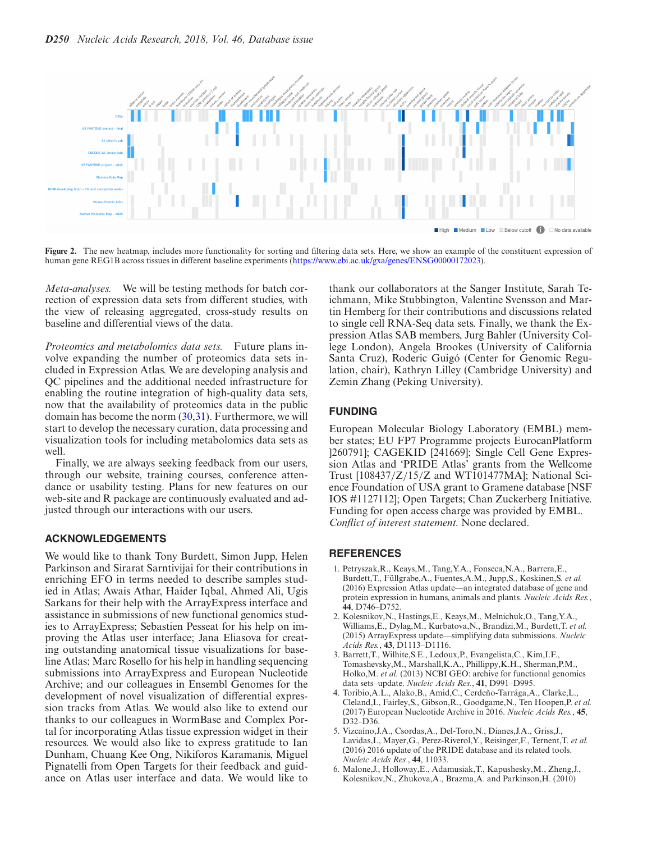<span id="page-4-0"></span>

**Figure 2.** The new heatmap, includes more functionality for sorting and filtering data sets. Here, we show an example of the constituent expression of human gene REG1B across tissues in different baseline experiments [\(https://www.ebi.ac.uk/gxa/genes/ENSG00000172023\)](https://www.ebi.ac.uk/gxa/genes/ENSG00000172023).

*Meta-analyses.* We will be testing methods for batch correction of expression data sets from different studies, with the view of releasing aggregated, cross-study results on baseline and differential views of the data.

*Proteomics and metabolomics data sets.* Future plans involve expanding the number of proteomics data sets included in Expression Atlas. We are developing analysis and QC pipelines and the additional needed infrastructure for enabling the routine integration of high-quality data sets, now that the availability of proteomics data in the public domain has become the norm [\(30,31\)](#page-5-0). Furthermore, we will start to develop the necessary curation, data processing and visualization tools for including metabolomics data sets as well.

Finally, we are always seeking feedback from our users, through our website, training courses, conference attendance or usability testing. Plans for new features on our web-site and R package are continuously evaluated and adjusted through our interactions with our users.

# **ACKNOWLEDGEMENTS**

We would like to thank Tony Burdett, Simon Jupp, Helen Parkinson and Sirarat Sarntivijai for their contributions in enriching EFO in terms needed to describe samples studied in Atlas; Awais Athar, Haider Iqbal, Ahmed Ali, Ugis Sarkans for their help with the ArrayExpress interface and assistance in submissions of new functional genomics studies to ArrayExpress; Sebastien Pesseat for his help on improving the Atlas user interface; Jana Eliasova for creating outstanding anatomical tissue visualizations for baseline Atlas; Marc Rosello for his help in handling sequencing submissions into ArrayExpress and European Nucleotide Archive; and our colleagues in Ensembl Genomes for the development of novel visualization of differential expression tracks from Atlas. We would also like to extend our thanks to our colleagues in WormBase and Complex Portal for incorporating Atlas tissue expression widget in their resources. We would also like to express gratitude to Ian Dunham, Chuang Kee Ong, Nikiforos Karamanis, Miguel Pignatelli from Open Targets for their feedback and guidance on Atlas user interface and data. We would like to

thank our collaborators at the Sanger Institute, Sarah Teichmann, Mike Stubbington, Valentine Svensson and Martin Hemberg for their contributions and discussions related to single cell RNA-Seq data sets. Finally, we thank the Expression Atlas SAB members, Jurg Bahler (University College London), Angela Brookes (University of California Santa Cruz), Roderic Guigó (Center for Genomic Regulation, chair), Kathryn Lilley (Cambridge University) and Zemin Zhang (Peking University).

# **FUNDING**

European Molecular Biology Laboratory (EMBL) member states; EU FP7 Programme projects EurocanPlatform ]260791]; CAGEKID [241669]; Single Cell Gene Expression Atlas and 'PRIDE Atlas' grants from the Wellcome Trust [108437/Z/15/Z and WT101477MA]; National Science Foundation of USA grant to Gramene database [NSF IOS #1127112]; Open Targets; Chan Zuckerberg Initiative. Funding for open access charge was provided by EMBL. *Conflict of interest statement.* None declared.

# **REFERENCES**

- 1. Petryszak,R., Keays,M., Tang,Y.A., Fonseca,N.A., Barrera,E., Burdett, T., Füllgrabe, A., Fuentes, A.M., Jupp, S., Koskinen, S. et al. (2016) Expression Atlas update––an integrated database of gene and protein expression in humans, animals and plants. *Nucleic Acids Res.*, **44**, D746–D752.
- 2. Kolesnikov,N., Hastings,E., Keays,M., Melnichuk,O., Tang,Y.A., Williams,E., Dylag,M., Kurbatova,N., Brandizi,M., Burdett,T. *et al.* (2015) ArrayExpress update––simplifying data submissions. *Nucleic Acids Res.*, **43**, D1113–D1116.
- 3. Barrett,T., Wilhite,S.E., Ledoux,P., Evangelista,C., Kim,I.F., Tomashevsky,M., Marshall,K.A., Phillippy,K.H., Sherman,P.M., Holko,M. *et al.* (2013) NCBI GEO: archive for functional genomics data sets–update. *Nucleic Acids Res.*, **41**, D991–D995.
- 4. Toribio, A.L., Alako, B., Amid, C., Cerdeño-Tarrága, A., Clarke, L., Cleland,I., Fairley,S., Gibson,R., Goodgame,N., Ten Hoopen,P. *et al.* (2017) European Nucleotide Archive in 2016. *Nucleic Acids Res.*, **45**, D32–D36.
- 5. Vizcaíno, J.A., Csordas, A., Del-Toro, N., Dianes, J.A., Griss, J., Lavidas,I., Mayer,G., Perez-Riverol,Y., Reisinger,F., Ternent,T. *et al.* (2016) 2016 update of the PRIDE database and its related tools. *Nucleic Acids Res.*, **44**, 11033.
- 6. Malone,J., Holloway,E., Adamusiak,T., Kapushesky,M., Zheng,J., Kolesnikov,N., Zhukova,A., Brazma,A. and Parkinson,H. (2010)